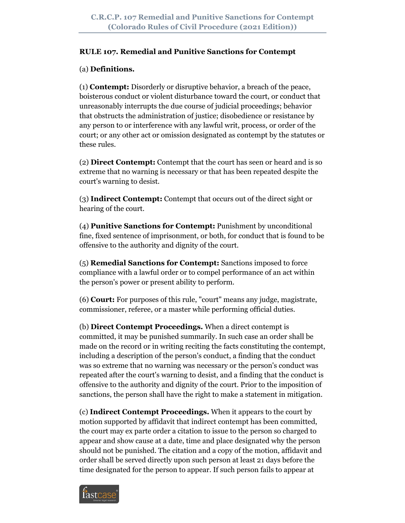### **RULE 107. Remedial and Punitive Sanctions for Contempt**

## (a) **Definitions.**

(1) **Contempt:** Disorderly or disruptive behavior, a breach of the peace, boisterous conduct or violent disturbance toward the court, or conduct that unreasonably interrupts the due course of judicial proceedings; behavior that obstructs the administration of justice; disobedience or resistance by any person to or interference with any lawful writ, process, or order of the court; or any other act or omission designated as contempt by the statutes or these rules.

(2) **Direct Contempt:** Contempt that the court has seen or heard and is so extreme that no warning is necessary or that has been repeated despite the court's warning to desist.

(3) **Indirect Contempt:** Contempt that occurs out of the direct sight or hearing of the court.

(4) **Punitive Sanctions for Contempt:** Punishment by unconditional fine, fixed sentence of imprisonment, or both, for conduct that is found to be offensive to the authority and dignity of the court.

(5) **Remedial Sanctions for Contempt:** Sanctions imposed to force compliance with a lawful order or to compel performance of an act within the person's power or present ability to perform.

(6) **Court:** For purposes of this rule, "court" means any judge, magistrate, commissioner, referee, or a master while performing official duties.

(b) **Direct Contempt Proceedings.** When a direct contempt is committed, it may be punished summarily. In such case an order shall be made on the record or in writing reciting the facts constituting the contempt, including a description of the person's conduct, a finding that the conduct was so extreme that no warning was necessary or the person's conduct was repeated after the court's warning to desist, and a finding that the conduct is offensive to the authority and dignity of the court. Prior to the imposition of sanctions, the person shall have the right to make a statement in mitigation.

(c) **Indirect Contempt Proceedings.** When it appears to the court by motion supported by affidavit that indirect contempt has been committed, the court may ex parte order a citation to issue to the person so charged to appear and show cause at a date, time and place designated why the person should not be punished. The citation and a copy of the motion, affidavit and order shall be served directly upon such person at least 21 days before the time designated for the person to appear. If such person fails to appear at

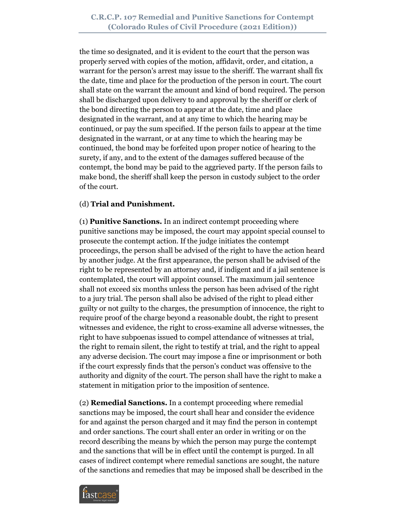the time so designated, and it is evident to the court that the person was properly served with copies of the motion, affidavit, order, and citation, a warrant for the person's arrest may issue to the sheriff. The warrant shall fix the date, time and place for the production of the person in court. The court shall state on the warrant the amount and kind of bond required. The person shall be discharged upon delivery to and approval by the sheriff or clerk of the bond directing the person to appear at the date, time and place designated in the warrant, and at any time to which the hearing may be continued, or pay the sum specified. If the person fails to appear at the time designated in the warrant, or at any time to which the hearing may be continued, the bond may be forfeited upon proper notice of hearing to the surety, if any, and to the extent of the damages suffered because of the contempt, the bond may be paid to the aggrieved party. If the person fails to make bond, the sheriff shall keep the person in custody subject to the order of the court.

### (d) **Trial and Punishment.**

(1) **Punitive Sanctions.** In an indirect contempt proceeding where punitive sanctions may be imposed, the court may appoint special counsel to prosecute the contempt action. If the judge initiates the contempt proceedings, the person shall be advised of the right to have the action heard by another judge. At the first appearance, the person shall be advised of the right to be represented by an attorney and, if indigent and if a jail sentence is contemplated, the court will appoint counsel. The maximum jail sentence shall not exceed six months unless the person has been advised of the right to a jury trial. The person shall also be advised of the right to plead either guilty or not guilty to the charges, the presumption of innocence, the right to require proof of the charge beyond a reasonable doubt, the right to present witnesses and evidence, the right to cross-examine all adverse witnesses, the right to have subpoenas issued to compel attendance of witnesses at trial, the right to remain silent, the right to testify at trial, and the right to appeal any adverse decision. The court may impose a fine or imprisonment or both if the court expressly finds that the person's conduct was offensive to the authority and dignity of the court. The person shall have the right to make a statement in mitigation prior to the imposition of sentence.

(2) **Remedial Sanctions.** In a contempt proceeding where remedial sanctions may be imposed, the court shall hear and consider the evidence for and against the person charged and it may find the person in contempt and order sanctions. The court shall enter an order in writing or on the record describing the means by which the person may purge the contempt and the sanctions that will be in effect until the contempt is purged. In all cases of indirect contempt where remedial sanctions are sought, the nature of the sanctions and remedies that may be imposed shall be described in the

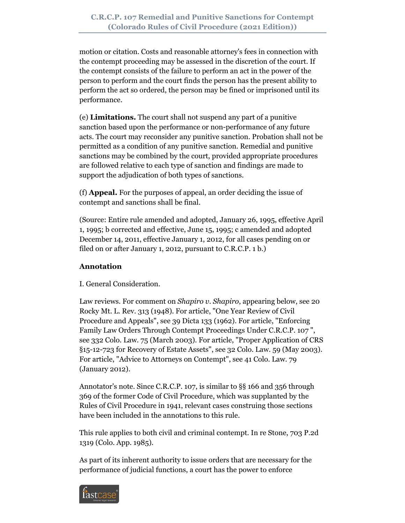motion or citation. Costs and reasonable attorney's fees in connection with the contempt proceeding may be assessed in the discretion of the court. If the contempt consists of the failure to perform an act in the power of the person to perform and the court finds the person has the present ability to perform the act so ordered, the person may be fined or imprisoned until its performance.

(e) **Limitations.** The court shall not suspend any part of a punitive sanction based upon the performance or non-performance of any future acts. The court may reconsider any punitive sanction. Probation shall not be permitted as a condition of any punitive sanction. Remedial and punitive sanctions may be combined by the court, provided appropriate procedures are followed relative to each type of sanction and findings are made to support the adjudication of both types of sanctions.

(f) **Appeal.** For the purposes of appeal, an order deciding the issue of contempt and sanctions shall be final.

(Source: Entire rule amended and adopted, January 26, 1995, effective April 1, 1995; b corrected and effective, June 15, 1995; c amended and adopted December 14, 2011, effective January 1, 2012, for all cases pending on or filed on or after January 1, 2012, pursuant to C.R.C.P. 1 b.)

# **Annotation**

I. General Consideration.

Law reviews. For comment on *Shapiro v. Shapiro*, appearing below, see 20 Rocky Mt. L. Rev. 313 (1948). For article, "One Year Review of Civil Procedure and Appeals", see 39 Dicta 133 (1962). For article, "Enforcing Family Law Orders Through Contempt Proceedings Under C.R.C.P. 107 ", see 332 Colo. Law. 75 (March 2003). For article, "Proper Application of CRS §15-12-723 for Recovery of Estate Assets", see 32 Colo. Law. 59 (May 2003). For article, "Advice to Attorneys on Contempt", see 41 Colo. Law. 79 (January 2012).

Annotator's note. Since C.R.C.P. 107, is similar to §§ 166 and 356 through 369 of the former Code of Civil Procedure, which was supplanted by the Rules of Civil Procedure in 1941, relevant cases construing those sections have been included in the annotations to this rule.

This rule applies to both civil and criminal contempt. In re Stone, 703 P.2d 1319 (Colo. App. 1985).

As part of its inherent authority to issue orders that are necessary for the performance of judicial functions, a court has the power to enforce

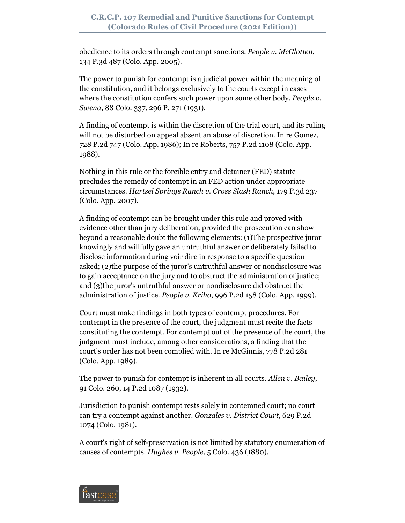obedience to its orders through contempt sanctions. *People v. McGlotten*, 134 P.3d 487 (Colo. App. 2005).

The power to punish for contempt is a judicial power within the meaning of the constitution, and it belongs exclusively to the courts except in cases where the constitution confers such power upon some other body. *People v. Swena*, 88 Colo. 337, 296 P. 271 (1931).

A finding of contempt is within the discretion of the trial court, and its ruling will not be disturbed on appeal absent an abuse of discretion. In re Gomez, 728 P.2d 747 (Colo. App. 1986); In re Roberts, 757 P.2d 1108 (Colo. App. 1988).

Nothing in this rule or the forcible entry and detainer (FED) statute precludes the remedy of contempt in an FED action under appropriate circumstances. *Hartsel Springs Ranch v. Cross Slash Ranch*, 179 P.3d 237 (Colo. App. 2007).

A finding of contempt can be brought under this rule and proved with evidence other than jury deliberation, provided the prosecution can show beyond a reasonable doubt the following elements: (1)The prospective juror knowingly and willfully gave an untruthful answer or deliberately failed to disclose information during voir dire in response to a specific question asked; (2)the purpose of the juror's untruthful answer or nondisclosure was to gain acceptance on the jury and to obstruct the administration of justice; and (3)the juror's untruthful answer or nondisclosure did obstruct the administration of justice. *People v. Kriho*, 996 P.2d 158 (Colo. App. 1999).

Court must make findings in both types of contempt procedures. For contempt in the presence of the court, the judgment must recite the facts constituting the contempt. For contempt out of the presence of the court, the judgment must include, among other considerations, a finding that the court's order has not been complied with. In re McGinnis, 778 P.2d 281 (Colo. App. 1989).

The power to punish for contempt is inherent in all courts. *Allen v. Bailey*, 91 Colo. 260, 14 P.2d 1087 (1932).

Jurisdiction to punish contempt rests solely in contemned court; no court can try a contempt against another. *Gonzales v. District Court*, 629 P.2d 1074 (Colo. 1981).

A court's right of self-preservation is not limited by statutory enumeration of causes of contempts. *Hughes v. People*, 5 Colo. 436 (1880).

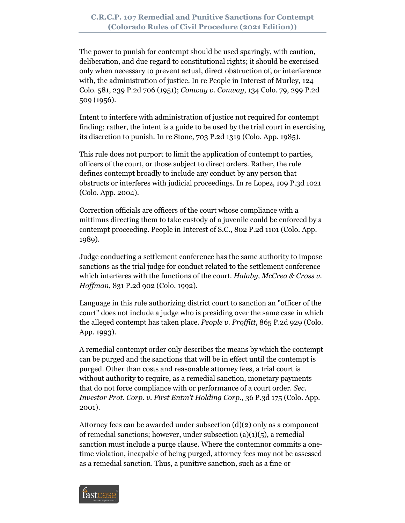The power to punish for contempt should be used sparingly, with caution, deliberation, and due regard to constitutional rights; it should be exercised only when necessary to prevent actual, direct obstruction of, or interference with, the administration of justice. In re People in Interest of Murley, 124 Colo. 581, 239 P.2d 706 (1951); *Conway v. Conway*, 134 Colo. 79, 299 P.2d 509 (1956).

Intent to interfere with administration of justice not required for contempt finding; rather, the intent is a guide to be used by the trial court in exercising its discretion to punish. In re Stone, 703 P.2d 1319 (Colo. App. 1985).

This rule does not purport to limit the application of contempt to parties, officers of the court, or those subject to direct orders. Rather, the rule defines contempt broadly to include any conduct by any person that obstructs or interferes with judicial proceedings. In re Lopez, 109 P.3d 1021 (Colo. App. 2004).

Correction officials are officers of the court whose compliance with a mittimus directing them to take custody of a juvenile could be enforced by a contempt proceeding. People in Interest of S.C., 802 P.2d 1101 (Colo. App. 1989).

Judge conducting a settlement conference has the same authority to impose sanctions as the trial judge for conduct related to the settlement conference which interferes with the functions of the court. *Halaby, McCrea & Cross v. Hoffman*, 831 P.2d 902 (Colo. 1992).

Language in this rule authorizing district court to sanction an "officer of the court" does not include a judge who is presiding over the same case in which the alleged contempt has taken place. *People v. Proffitt*, 865 P.2d 929 (Colo. App. 1993).

A remedial contempt order only describes the means by which the contempt can be purged and the sanctions that will be in effect until the contempt is purged. Other than costs and reasonable attorney fees, a trial court is without authority to require, as a remedial sanction, monetary payments that do not force compliance with or performance of a court order. *Sec. Investor Prot. Corp. v. First Entm't Holding Corp*., 36 P.3d 175 (Colo. App. 2001).

Attorney fees can be awarded under subsection (d)(2) only as a component of remedial sanctions; however, under subsection  $(a)(1)(5)$ , a remedial sanction must include a purge clause. Where the contemnor commits a onetime violation, incapable of being purged, attorney fees may not be assessed as a remedial sanction. Thus, a punitive sanction, such as a fine or

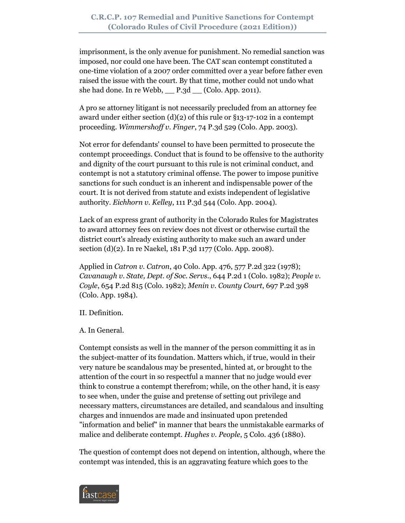imprisonment, is the only avenue for punishment. No remedial sanction was imposed, nor could one have been. The CAT scan contempt constituted a one-time violation of a 2007 order committed over a year before father even raised the issue with the court. By that time, mother could not undo what she had done. In re Webb, \_\_ P.3d \_\_ (Colo. App. 2011).

A pro se attorney litigant is not necessarily precluded from an attorney fee award under either section  $(d)(2)$  of this rule or §13-17-102 in a contempt proceeding. *Wimmershoff v. Finger*, 74 P.3d 529 (Colo. App. 2003).

Not error for defendants' counsel to have been permitted to prosecute the contempt proceedings. Conduct that is found to be offensive to the authority and dignity of the court pursuant to this rule is not criminal conduct, and contempt is not a statutory criminal offense. The power to impose punitive sanctions for such conduct is an inherent and indispensable power of the court. It is not derived from statute and exists independent of legislative authority. *Eichhorn v. Kelley*, 111 P.3d 544 (Colo. App. 2004).

Lack of an express grant of authority in the Colorado Rules for Magistrates to award attorney fees on review does not divest or otherwise curtail the district court's already existing authority to make such an award under section (d)(2). In re Naekel, 181 P.3d 1177 (Colo. App. 2008).

Applied in *Catron v. Catron*, 40 Colo. App. 476, 577 P.2d 322 (1978); *Cavanaugh v. State, Dept. of Soc. Servs*., 644 P.2d 1 (Colo. 1982); *People v. Coyle*, 654 P.2d 815 (Colo. 1982); *Menin v. County Court*, 697 P.2d 398 (Colo. App. 1984).

II. Definition.

A. In General.

Contempt consists as well in the manner of the person committing it as in the subject-matter of its foundation. Matters which, if true, would in their very nature be scandalous may be presented, hinted at, or brought to the attention of the court in so respectful a manner that no judge would ever think to construe a contempt therefrom; while, on the other hand, it is easy to see when, under the guise and pretense of setting out privilege and necessary matters, circumstances are detailed, and scandalous and insulting charges and innuendos are made and insinuated upon pretended "information and belief" in manner that bears the unmistakable earmarks of malice and deliberate contempt. *Hughes v. People*, 5 Colo. 436 (1880).

The question of contempt does not depend on intention, although, where the contempt was intended, this is an aggravating feature which goes to the

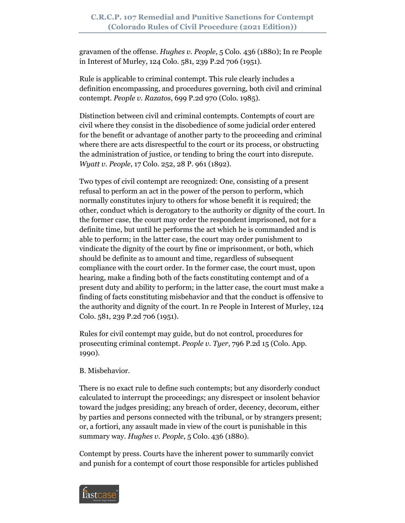gravamen of the offense. *Hughes v. People*, 5 Colo. 436 (1880); In re People in Interest of Murley, 124 Colo. 581, 239 P.2d 706 (1951).

Rule is applicable to criminal contempt. This rule clearly includes a definition encompassing, and procedures governing, both civil and criminal contempt. *People v. Razatos*, 699 P.2d 970 (Colo. 1985).

Distinction between civil and criminal contempts. Contempts of court are civil where they consist in the disobedience of some judicial order entered for the benefit or advantage of another party to the proceeding and criminal where there are acts disrespectful to the court or its process, or obstructing the administration of justice, or tending to bring the court into disrepute. *Wyatt v. People*, 17 Colo. 252, 28 P. 961 (1892).

Two types of civil contempt are recognized: One, consisting of a present refusal to perform an act in the power of the person to perform, which normally constitutes injury to others for whose benefit it is required; the other, conduct which is derogatory to the authority or dignity of the court. In the former case, the court may order the respondent imprisoned, not for a definite time, but until he performs the act which he is commanded and is able to perform; in the latter case, the court may order punishment to vindicate the dignity of the court by fine or imprisonment, or both, which should be definite as to amount and time, regardless of subsequent compliance with the court order. In the former case, the court must, upon hearing, make a finding both of the facts constituting contempt and of a present duty and ability to perform; in the latter case, the court must make a finding of facts constituting misbehavior and that the conduct is offensive to the authority and dignity of the court. In re People in Interest of Murley, 124 Colo. 581, 239 P.2d 706 (1951).

Rules for civil contempt may guide, but do not control, procedures for prosecuting criminal contempt. *People v. Tyer*, 796 P.2d 15 (Colo. App. 1990).

# B. Misbehavior.

There is no exact rule to define such contempts; but any disorderly conduct calculated to interrupt the proceedings; any disrespect or insolent behavior toward the judges presiding; any breach of order, decency, decorum, either by parties and persons connected with the tribunal, or by strangers present; or, a fortiori, any assault made in view of the court is punishable in this summary way. *Hughes v. People*, 5 Colo. 436 (1880).

Contempt by press. Courts have the inherent power to summarily convict and punish for a contempt of court those responsible for articles published

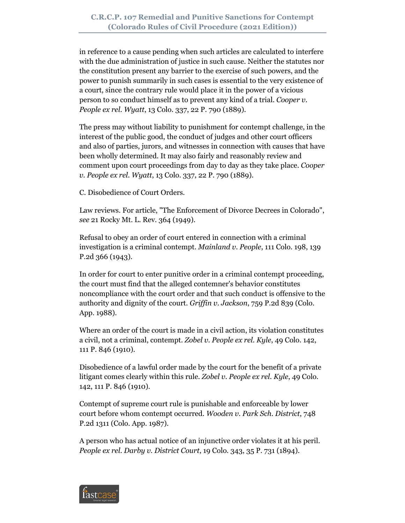in reference to a cause pending when such articles are calculated to interfere with the due administration of justice in such cause. Neither the statutes nor the constitution present any barrier to the exercise of such powers, and the power to punish summarily in such cases is essential to the very existence of a court, since the contrary rule would place it in the power of a vicious person to so conduct himself as to prevent any kind of a trial. *Cooper v. People ex rel. Wyatt*, 13 Colo. 337, 22 P. 790 (1889).

The press may without liability to punishment for contempt challenge, in the interest of the public good, the conduct of judges and other court officers and also of parties, jurors, and witnesses in connection with causes that have been wholly determined. It may also fairly and reasonably review and comment upon court proceedings from day to day as they take place. *Cooper v. People ex rel. Wyatt*, 13 Colo. 337, 22 P. 790 (1889).

C. Disobedience of Court Orders.

Law reviews. For article, "The Enforcement of Divorce Decrees in Colorado", *see* 21 Rocky Mt. L. Rev. 364 (1949).

Refusal to obey an order of court entered in connection with a criminal investigation is a criminal contempt. *Mainland v. People*, 111 Colo. 198, 139 P.2d 366 (1943).

In order for court to enter punitive order in a criminal contempt proceeding, the court must find that the alleged contemner's behavior constitutes noncompliance with the court order and that such conduct is offensive to the authority and dignity of the court. *Griffin v. Jackson*, 759 P.2d 839 (Colo. App. 1988).

Where an order of the court is made in a civil action, its violation constitutes a civil, not a criminal, contempt. *Zobel v. People ex rel. Kyle*, 49 Colo. 142, 111 P. 846 (1910).

Disobedience of a lawful order made by the court for the benefit of a private litigant comes clearly within this rule. *Zobel v. People ex rel. Kyle*, 49 Colo. 142, 111 P. 846 (1910).

Contempt of supreme court rule is punishable and enforceable by lower court before whom contempt occurred. *Wooden v. Park Sch. District*, 748 P.2d 1311 (Colo. App. 1987).

A person who has actual notice of an injunctive order violates it at his peril. *People ex rel. Darby v. District Court*, 19 Colo. 343, 35 P. 731 (1894).

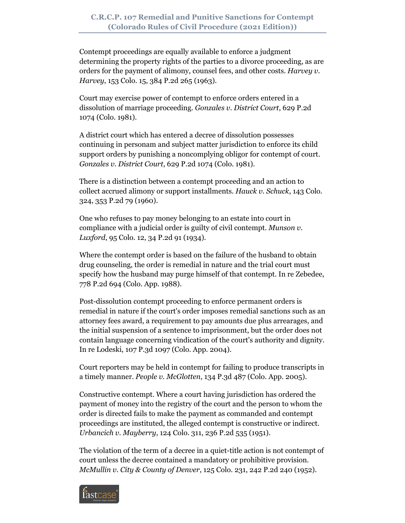Contempt proceedings are equally available to enforce a judgment determining the property rights of the parties to a divorce proceeding, as are orders for the payment of alimony, counsel fees, and other costs. *Harvey v. Harvey*, 153 Colo. 15, 384 P.2d 265 (1963).

Court may exercise power of contempt to enforce orders entered in a dissolution of marriage proceeding. *Gonzales v. District Court*, 629 P.2d 1074 (Colo. 1981).

A district court which has entered a decree of dissolution possesses continuing in personam and subject matter jurisdiction to enforce its child support orders by punishing a noncomplying obligor for contempt of court. *Gonzales v. District Court*, 629 P.2d 1074 (Colo. 1981).

There is a distinction between a contempt proceeding and an action to collect accrued alimony or support installments. *Hauck v. Schuck*, 143 Colo. 324, 353 P.2d 79 (1960).

One who refuses to pay money belonging to an estate into court in compliance with a judicial order is guilty of civil contempt. *Munson v. Luxford*, 95 Colo. 12, 34 P.2d 91 (1934).

Where the contempt order is based on the failure of the husband to obtain drug counseling, the order is remedial in nature and the trial court must specify how the husband may purge himself of that contempt. In re Zebedee, 778 P.2d 694 (Colo. App. 1988).

Post-dissolution contempt proceeding to enforce permanent orders is remedial in nature if the court's order imposes remedial sanctions such as an attorney fees award, a requirement to pay amounts due plus arrearages, and the initial suspension of a sentence to imprisonment, but the order does not contain language concerning vindication of the court's authority and dignity. In re Lodeski, 107 P.3d 1097 (Colo. App. 2004).

Court reporters may be held in contempt for failing to produce transcripts in a timely manner. *People v. McGlotten*, 134 P.3d 487 (Colo. App. 2005).

Constructive contempt. Where a court having jurisdiction has ordered the payment of money into the registry of the court and the person to whom the order is directed fails to make the payment as commanded and contempt proceedings are instituted, the alleged contempt is constructive or indirect. *Urbancich v. Mayberry*, 124 Colo. 311, 236 P.2d 535 (1951).

The violation of the term of a decree in a quiet-title action is not contempt of court unless the decree contained a mandatory or prohibitive provision. *McMullin v. City & County of Denver*, 125 Colo. 231, 242 P.2d 240 (1952).

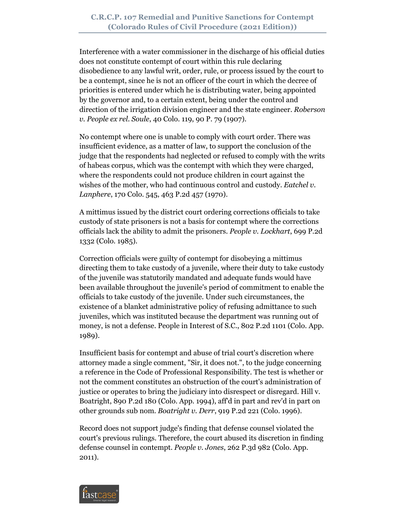Interference with a water commissioner in the discharge of his official duties does not constitute contempt of court within this rule declaring disobedience to any lawful writ, order, rule, or process issued by the court to be a contempt, since he is not an officer of the court in which the decree of priorities is entered under which he is distributing water, being appointed by the governor and, to a certain extent, being under the control and direction of the irrigation division engineer and the state engineer. *Roberson v. People ex rel. Soule*, 40 Colo. 119, 90 P. 79 (1907).

No contempt where one is unable to comply with court order. There was insufficient evidence, as a matter of law, to support the conclusion of the judge that the respondents had neglected or refused to comply with the writs of habeas corpus, which was the contempt with which they were charged, where the respondents could not produce children in court against the wishes of the mother, who had continuous control and custody. *Eatchel v. Lanphere*, 170 Colo. 545, 463 P.2d 457 (1970).

A mittimus issued by the district court ordering corrections officials to take custody of state prisoners is not a basis for contempt where the corrections officials lack the ability to admit the prisoners. *People v. Lockhart*, 699 P.2d 1332 (Colo. 1985).

Correction officials were guilty of contempt for disobeying a mittimus directing them to take custody of a juvenile, where their duty to take custody of the juvenile was statutorily mandated and adequate funds would have been available throughout the juvenile's period of commitment to enable the officials to take custody of the juvenile. Under such circumstances, the existence of a blanket administrative policy of refusing admittance to such juveniles, which was instituted because the department was running out of money, is not a defense. People in Interest of S.C., 802 P.2d 1101 (Colo. App. 1989).

Insufficient basis for contempt and abuse of trial court's discretion where attorney made a single comment, "Sir, it does not.", to the judge concerning a reference in the Code of Professional Responsibility. The test is whether or not the comment constitutes an obstruction of the court's administration of justice or operates to bring the judiciary into disrespect or disregard. Hill v. Boatright, 890 P.2d 180 (Colo. App. 1994), aff'd in part and rev'd in part on other grounds sub nom. *Boatright v. Derr*, 919 P.2d 221 (Colo. 1996).

Record does not support judge's finding that defense counsel violated the court's previous rulings. Therefore, the court abused its discretion in finding defense counsel in contempt. *People v. Jones*, 262 P.3d 982 (Colo. App. 2011).

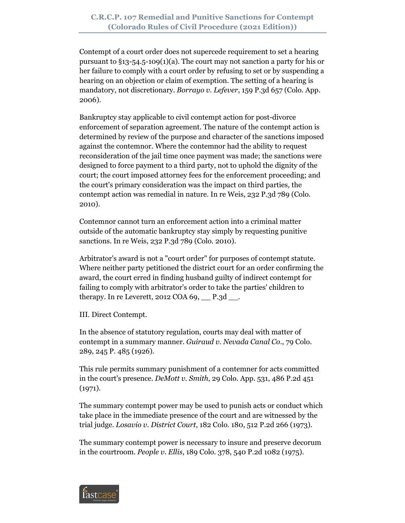Contempt of a court order does not supercede requirement to set a hearing pursuant to §13-54.5-109(1)(a). The court may not sanction a party for his or her failure to comply with a court order by refusing to set or by suspending a hearing on an objection or claim of exemption. The setting of a hearing is mandatory, not discretionary. *Borrayo v. Lefever*, 159 P.3d 657 (Colo. App. 2006).

Bankruptcy stay applicable to civil contempt action for post-divorce enforcement of separation agreement. The nature of the contempt action is determined by review of the purpose and character of the sanctions imposed against the contemnor. Where the contemnor had the ability to request reconsideration of the jail time once payment was made; the sanctions were designed to force payment to a third party, not to uphold the dignity of the court; the court imposed attorney fees for the enforcement proceeding; and the court's primary consideration was the impact on third parties, the contempt action was remedial in nature. In re Weis, 232 P.3d 789 (Colo. 2010).

Contemnor cannot turn an enforcement action into a criminal matter outside of the automatic bankruptcy stay simply by requesting punitive sanctions. In re Weis, 232 P.3d 789 (Colo. 2010).

Arbitrator's award is not a "court order" for purposes of contempt statute. Where neither party petitioned the district court for an order confirming the award, the court erred in finding husband guilty of indirect contempt for failing to comply with arbitrator's order to take the parties' children to therapy. In re Leverett, 2012 COA  $69,$   $\_\_$  P.3d  $\_\_$ .

III. Direct Contempt.

In the absence of statutory regulation, courts may deal with matter of contempt in a summary manner. *Guiraud v. Nevada Canal Co*., 79 Colo. 289, 245 P. 485 (1926).

This rule permits summary punishment of a contemner for acts committed in the court's presence. *DeMott v. Smith*, 29 Colo. App. 531, 486 P.2d 451 (1971).

The summary contempt power may be used to punish acts or conduct which take place in the immediate presence of the court and are witnessed by the trial judge. *Losavio v. District Court*, 182 Colo. 180, 512 P.2d 266 (1973).

The summary contempt power is necessary to insure and preserve decorum in the courtroom. *People v. Ellis*, 189 Colo. 378, 540 P.2d 1082 (1975).

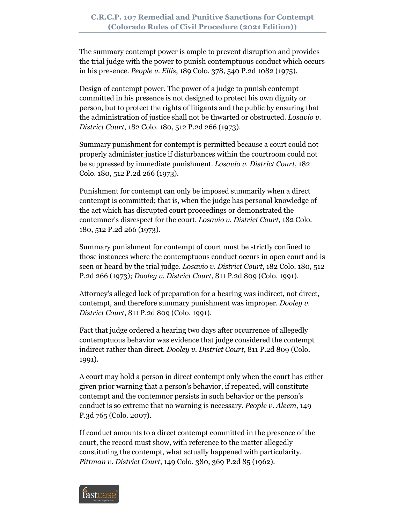The summary contempt power is ample to prevent disruption and provides the trial judge with the power to punish contemptuous conduct which occurs in his presence. *People v. Ellis*, 189 Colo. 378, 540 P.2d 1082 (1975).

Design of contempt power. The power of a judge to punish contempt committed in his presence is not designed to protect his own dignity or person, but to protect the rights of litigants and the public by ensuring that the administration of justice shall not be thwarted or obstructed. *Losavio v. District Court*, 182 Colo. 180, 512 P.2d 266 (1973).

Summary punishment for contempt is permitted because a court could not properly administer justice if disturbances within the courtroom could not be suppressed by immediate punishment. *Losavio v. District Court*, 182 Colo. 180, 512 P.2d 266 (1973).

Punishment for contempt can only be imposed summarily when a direct contempt is committed; that is, when the judge has personal knowledge of the act which has disrupted court proceedings or demonstrated the contemner's disrespect for the court. *Losavio v. District Court*, 182 Colo. 180, 512 P.2d 266 (1973).

Summary punishment for contempt of court must be strictly confined to those instances where the contemptuous conduct occurs in open court and is seen or heard by the trial judge. *Losavio v. District Court*, 182 Colo. 180, 512 P.2d 266 (1973); *Dooley v. District Court*, 811 P.2d 809 (Colo. 1991).

Attorney's alleged lack of preparation for a hearing was indirect, not direct, contempt, and therefore summary punishment was improper. *Dooley v. District Court*, 811 P.2d 809 (Colo. 1991).

Fact that judge ordered a hearing two days after occurrence of allegedly contemptuous behavior was evidence that judge considered the contempt indirect rather than direct. *Dooley v. District Court*, 811 P.2d 809 (Colo. 1991).

A court may hold a person in direct contempt only when the court has either given prior warning that a person's behavior, if repeated, will constitute contempt and the contemnor persists in such behavior or the person's conduct is so extreme that no warning is necessary. *People v. Aleem*, 149 P.3d 765 (Colo. 2007).

If conduct amounts to a direct contempt committed in the presence of the court, the record must show, with reference to the matter allegedly constituting the contempt, what actually happened with particularity. *Pittman v. District Court*, 149 Colo. 380, 369 P.2d 85 (1962).

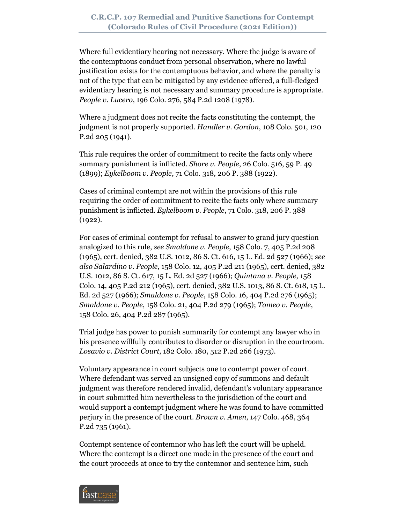Where full evidentiary hearing not necessary. Where the judge is aware of the contemptuous conduct from personal observation, where no lawful justification exists for the contemptuous behavior, and where the penalty is not of the type that can be mitigated by any evidence offered, a full-fledged evidentiary hearing is not necessary and summary procedure is appropriate. *People v. Lucero*, 196 Colo. 276, 584 P.2d 1208 (1978).

Where a judgment does not recite the facts constituting the contempt, the judgment is not properly supported. *Handler v. Gordon*, 108 Colo. 501, 120 P.2d 205 (1941).

This rule requires the order of commitment to recite the facts only where summary punishment is inflicted. *Shore v. People*, 26 Colo. 516, 59 P. 49 (1899); *Eykelboom v. People*, 71 Colo. 318, 206 P. 388 (1922).

Cases of criminal contempt are not within the provisions of this rule requiring the order of commitment to recite the facts only where summary punishment is inflicted. *Eykelboom v. People*, 71 Colo. 318, 206 P. 388 (1922).

For cases of criminal contempt for refusal to answer to grand jury question analogized to this rule, *see Smaldone v. People*, 158 Colo. 7, 405 P.2d 208 (1965), cert. denied, 382 U.S. 1012, 86 S. Ct. 616, 15 L. Ed. 2d 527 (1966); *see also Salardino v. People*, 158 Colo. 12, 405 P.2d 211 (1965), cert. denied, 382 U.S. 1012, 86 S. Ct. 617, 15 L. Ed. 2d 527 (1966); *Quintana v. People*, 158 Colo. 14, 405 P.2d 212 (1965), cert. denied, 382 U.S. 1013, 86 S. Ct. 618, 15 L. Ed. 2d 527 (1966); *Smaldone v. People*, 158 Colo. 16, 404 P.2d 276 (1965); *Smaldone v. People*, 158 Colo. 21, 404 P.2d 279 (1965); *Tomeo v. People*, 158 Colo. 26, 404 P.2d 287 (1965).

Trial judge has power to punish summarily for contempt any lawyer who in his presence willfully contributes to disorder or disruption in the courtroom. *Losavio v. District Court*, 182 Colo. 180, 512 P.2d 266 (1973).

Voluntary appearance in court subjects one to contempt power of court. Where defendant was served an unsigned copy of summons and default judgment was therefore rendered invalid, defendant's voluntary appearance in court submitted him nevertheless to the jurisdiction of the court and would support a contempt judgment where he was found to have committed perjury in the presence of the court. *Brown v. Amen*, 147 Colo. 468, 364 P.2d 735 (1961).

Contempt sentence of contemnor who has left the court will be upheld. Where the contempt is a direct one made in the presence of the court and the court proceeds at once to try the contemnor and sentence him, such

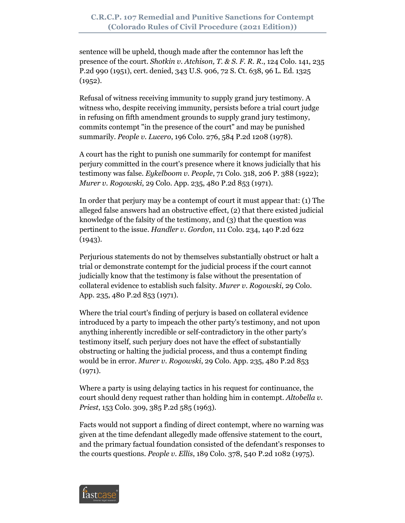sentence will be upheld, though made after the contemnor has left the presence of the court. *Shotkin v. Atchison, T. & S. F. R. R*., 124 Colo. 141, 235 P.2d 990 (1951), cert. denied, 343 U.S. 906, 72 S. Ct. 638, 96 L. Ed. 1325  $(1952).$ 

Refusal of witness receiving immunity to supply grand jury testimony. A witness who, despite receiving immunity, persists before a trial court judge in refusing on fifth amendment grounds to supply grand jury testimony, commits contempt "in the presence of the court" and may be punished summarily. *People v. Lucero*, 196 Colo. 276, 584 P.2d 1208 (1978).

A court has the right to punish one summarily for contempt for manifest perjury committed in the court's presence where it knows judicially that his testimony was false. *Eykelboom v. People*, 71 Colo. 318, 206 P. 388 (1922); *Murer v. Rogowski*, 29 Colo. App. 235, 480 P.2d 853 (1971).

In order that perjury may be a contempt of court it must appear that: (1) The alleged false answers had an obstructive effect, (2) that there existed judicial knowledge of the falsity of the testimony, and (3) that the question was pertinent to the issue. *Handler v. Gordon*, 111 Colo. 234, 140 P.2d 622 (1943).

Perjurious statements do not by themselves substantially obstruct or halt a trial or demonstrate contempt for the judicial process if the court cannot judicially know that the testimony is false without the presentation of collateral evidence to establish such falsity. *Murer v. Rogowski*, 29 Colo. App. 235, 480 P.2d 853 (1971).

Where the trial court's finding of perjury is based on collateral evidence introduced by a party to impeach the other party's testimony, and not upon anything inherently incredible or self-contradictory in the other party's testimony itself, such perjury does not have the effect of substantially obstructing or halting the judicial process, and thus a contempt finding would be in error. *Murer v. Rogowski*, 29 Colo. App. 235, 480 P.2d 853 (1971).

Where a party is using delaying tactics in his request for continuance, the court should deny request rather than holding him in contempt. *Altobella v. Priest*, 153 Colo. 309, 385 P.2d 585 (1963).

Facts would not support a finding of direct contempt, where no warning was given at the time defendant allegedly made offensive statement to the court, and the primary factual foundation consisted of the defendant's responses to the courts questions. *People v. Ellis*, 189 Colo. 378, 540 P.2d 1082 (1975).

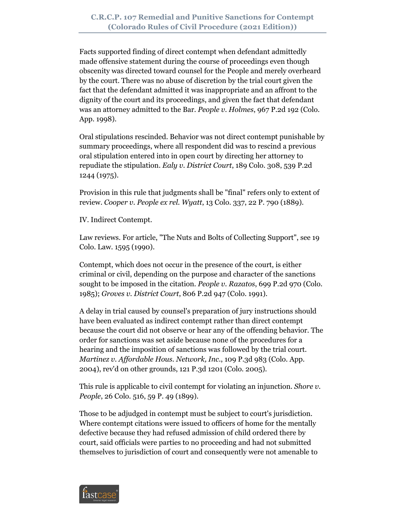Facts supported finding of direct contempt when defendant admittedly made offensive statement during the course of proceedings even though obscenity was directed toward counsel for the People and merely overheard by the court. There was no abuse of discretion by the trial court given the fact that the defendant admitted it was inappropriate and an affront to the dignity of the court and its proceedings, and given the fact that defendant was an attorney admitted to the Bar. *People v. Holmes*, 967 P.2d 192 (Colo. App. 1998).

Oral stipulations rescinded. Behavior was not direct contempt punishable by summary proceedings, where all respondent did was to rescind a previous oral stipulation entered into in open court by directing her attorney to repudiate the stipulation. *Ealy v. District Court*, 189 Colo. 308, 539 P.2d 1244 (1975).

Provision in this rule that judgments shall be "final" refers only to extent of review. *Cooper v. People ex rel. Wyatt*, 13 Colo. 337, 22 P. 790 (1889).

IV. Indirect Contempt.

Law reviews. For article, "The Nuts and Bolts of Collecting Support", see 19 Colo. Law. 1595 (1990).

Contempt, which does not occur in the presence of the court, is either criminal or civil, depending on the purpose and character of the sanctions sought to be imposed in the citation. *People v. Razatos*, 699 P.2d 970 (Colo. 1985); *Groves v. District Court*, 806 P.2d 947 (Colo. 1991).

A delay in trial caused by counsel's preparation of jury instructions should have been evaluated as indirect contempt rather than direct contempt because the court did not observe or hear any of the offending behavior. The order for sanctions was set aside because none of the procedures for a hearing and the imposition of sanctions was followed by the trial court. *Martinez v. Affordable Hous. Network, Inc*., 109 P.3d 983 (Colo. App. 2004), rev'd on other grounds, 121 P.3d 1201 (Colo. 2005).

This rule is applicable to civil contempt for violating an injunction. *Shore v. People*, 26 Colo. 516, 59 P. 49 (1899).

Those to be adjudged in contempt must be subject to court's jurisdiction. Where contempt citations were issued to officers of home for the mentally defective because they had refused admission of child ordered there by court, said officials were parties to no proceeding and had not submitted themselves to jurisdiction of court and consequently were not amenable to

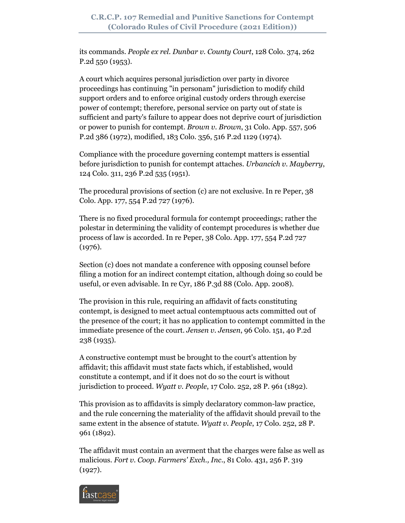its commands. *People ex rel. Dunbar v. County Court*, 128 Colo. 374, 262 P.2d 550 (1953).

A court which acquires personal jurisdiction over party in divorce proceedings has continuing "in personam" jurisdiction to modify child support orders and to enforce original custody orders through exercise power of contempt; therefore, personal service on party out of state is sufficient and party's failure to appear does not deprive court of jurisdiction or power to punish for contempt. *Brown v. Brown*, 31 Colo. App. 557, 506 P.2d 386 (1972), modified, 183 Colo. 356, 516 P.2d 1129 (1974).

Compliance with the procedure governing contempt matters is essential before jurisdiction to punish for contempt attaches. *Urbancich v. Mayberry*, 124 Colo. 311, 236 P.2d 535 (1951).

The procedural provisions of section (c) are not exclusive. In re Peper, 38 Colo. App. 177, 554 P.2d 727 (1976).

There is no fixed procedural formula for contempt proceedings; rather the polestar in determining the validity of contempt procedures is whether due process of law is accorded. In re Peper, 38 Colo. App. 177, 554 P.2d 727 (1976).

Section (c) does not mandate a conference with opposing counsel before filing a motion for an indirect contempt citation, although doing so could be useful, or even advisable. In re Cyr, 186 P.3d 88 (Colo. App. 2008).

The provision in this rule, requiring an affidavit of facts constituting contempt, is designed to meet actual contemptuous acts committed out of the presence of the court; it has no application to contempt committed in the immediate presence of the court. *Jensen v. Jensen*, 96 Colo. 151, 40 P.2d 238 (1935).

A constructive contempt must be brought to the court's attention by affidavit; this affidavit must state facts which, if established, would constitute a contempt, and if it does not do so the court is without jurisdiction to proceed. *Wyatt v. People*, 17 Colo. 252, 28 P. 961 (1892).

This provision as to affidavits is simply declaratory common-law practice, and the rule concerning the materiality of the affidavit should prevail to the same extent in the absence of statute. *Wyatt v. People*, 17 Colo. 252, 28 P. 961 (1892).

The affidavit must contain an averment that the charges were false as well as malicious. *Fort v. Coop. Farmers' Exch., Inc*., 81 Colo. 431, 256 P. 319 (1927).

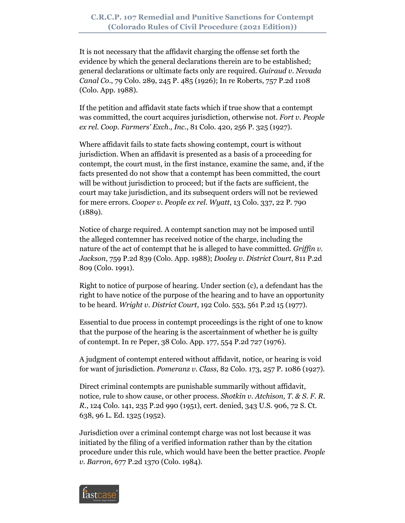It is not necessary that the affidavit charging the offense set forth the evidence by which the general declarations therein are to be established; general declarations or ultimate facts only are required. *Guiraud v. Nevada Canal Co*., 79 Colo. 289, 245 P. 485 (1926); In re Roberts, 757 P.2d 1108 (Colo. App. 1988).

If the petition and affidavit state facts which if true show that a contempt was committed, the court acquires jurisdiction, otherwise not. *Fort v. People ex rel. Coop. Farmers' Exch., Inc*., 81 Colo. 420, 256 P. 325 (1927).

Where affidavit fails to state facts showing contempt, court is without jurisdiction. When an affidavit is presented as a basis of a proceeding for contempt, the court must, in the first instance, examine the same, and, if the facts presented do not show that a contempt has been committed, the court will be without jurisdiction to proceed; but if the facts are sufficient, the court may take jurisdiction, and its subsequent orders will not be reviewed for mere errors. *Cooper v. People ex rel. Wyatt*, 13 Colo. 337, 22 P. 790 (1889).

Notice of charge required. A contempt sanction may not be imposed until the alleged contemner has received notice of the charge, including the nature of the act of contempt that he is alleged to have committed. *Griffin v. Jackson*, 759 P.2d 839 (Colo. App. 1988); *Dooley v. District Court*, 811 P.2d 809 (Colo. 1991).

Right to notice of purpose of hearing. Under section (c), a defendant has the right to have notice of the purpose of the hearing and to have an opportunity to be heard. *Wright v. District Court*, 192 Colo. 553, 561 P.2d 15 (1977).

Essential to due process in contempt proceedings is the right of one to know that the purpose of the hearing is the ascertainment of whether he is guilty of contempt. In re Peper, 38 Colo. App. 177, 554 P.2d 727 (1976).

A judgment of contempt entered without affidavit, notice, or hearing is void for want of jurisdiction. *Pomeranz v. Class*, 82 Colo. 173, 257 P. 1086 (1927).

Direct criminal contempts are punishable summarily without affidavit, notice, rule to show cause, or other process. *Shotkin v. Atchison, T. & S. F. R. R*., 124 Colo. 141, 235 P.2d 990 (1951), cert. denied, 343 U.S. 906, 72 S. Ct. 638, 96 L. Ed. 1325 (1952).

Jurisdiction over a criminal contempt charge was not lost because it was initiated by the filing of a verified information rather than by the citation procedure under this rule, which would have been the better practice. *People v. Barron*, 677 P.2d 1370 (Colo. 1984).

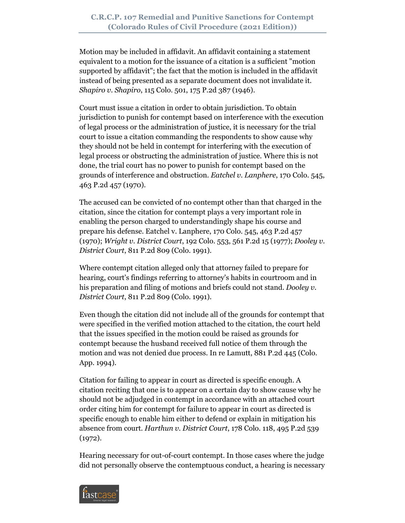Motion may be included in affidavit. An affidavit containing a statement equivalent to a motion for the issuance of a citation is a sufficient "motion supported by affidavit"; the fact that the motion is included in the affidavit instead of being presented as a separate document does not invalidate it. *Shapiro v. Shapiro*, 115 Colo. 501, 175 P.2d 387 (1946).

Court must issue a citation in order to obtain jurisdiction. To obtain jurisdiction to punish for contempt based on interference with the execution of legal process or the administration of justice, it is necessary for the trial court to issue a citation commanding the respondents to show cause why they should not be held in contempt for interfering with the execution of legal process or obstructing the administration of justice. Where this is not done, the trial court has no power to punish for contempt based on the grounds of interference and obstruction. *Eatchel v. Lanphere*, 170 Colo. 545, 463 P.2d 457 (1970).

The accused can be convicted of no contempt other than that charged in the citation, since the citation for contempt plays a very important role in enabling the person charged to understandingly shape his course and prepare his defense. Eatchel v. Lanphere, 170 Colo. 545, 463 P.2d 457 (1970); *Wright v. District Court*, 192 Colo. 553, 561 P.2d 15 (1977); *Dooley v. District Court*, 811 P.2d 809 (Colo. 1991).

Where contempt citation alleged only that attorney failed to prepare for hearing, court's findings referring to attorney's habits in courtroom and in his preparation and filing of motions and briefs could not stand. *Dooley v. District Court*, 811 P.2d 809 (Colo. 1991).

Even though the citation did not include all of the grounds for contempt that were specified in the verified motion attached to the citation, the court held that the issues specified in the motion could be raised as grounds for contempt because the husband received full notice of them through the motion and was not denied due process. In re Lamutt, 881 P.2d 445 (Colo. App. 1994).

Citation for failing to appear in court as directed is specific enough. A citation reciting that one is to appear on a certain day to show cause why he should not be adjudged in contempt in accordance with an attached court order citing him for contempt for failure to appear in court as directed is specific enough to enable him either to defend or explain in mitigation his absence from court. *Harthun v. District Court*, 178 Colo. 118, 495 P.2d 539 (1972).

Hearing necessary for out-of-court contempt. In those cases where the judge did not personally observe the contemptuous conduct, a hearing is necessary

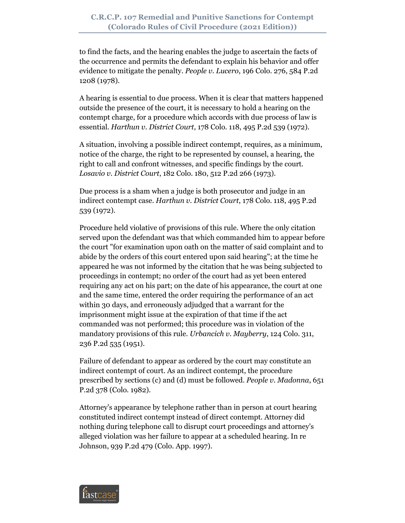to find the facts, and the hearing enables the judge to ascertain the facts of the occurrence and permits the defendant to explain his behavior and offer evidence to mitigate the penalty. *People v. Lucero*, 196 Colo. 276, 584 P.2d 1208 (1978).

A hearing is essential to due process. When it is clear that matters happened outside the presence of the court, it is necessary to hold a hearing on the contempt charge, for a procedure which accords with due process of law is essential. *Harthun v. District Court*, 178 Colo. 118, 495 P.2d 539 (1972).

A situation, involving a possible indirect contempt, requires, as a minimum, notice of the charge, the right to be represented by counsel, a hearing, the right to call and confront witnesses, and specific findings by the court. *Losavio v. District Court*, 182 Colo. 180, 512 P.2d 266 (1973).

Due process is a sham when a judge is both prosecutor and judge in an indirect contempt case. *Harthun v. District Court*, 178 Colo. 118, 495 P.2d 539 (1972).

Procedure held violative of provisions of this rule. Where the only citation served upon the defendant was that which commanded him to appear before the court "for examination upon oath on the matter of said complaint and to abide by the orders of this court entered upon said hearing"; at the time he appeared he was not informed by the citation that he was being subjected to proceedings in contempt; no order of the court had as yet been entered requiring any act on his part; on the date of his appearance, the court at one and the same time, entered the order requiring the performance of an act within 30 days, and erroneously adjudged that a warrant for the imprisonment might issue at the expiration of that time if the act commanded was not performed; this procedure was in violation of the mandatory provisions of this rule. *Urbancich v. Mayberry*, 124 Colo. 311, 236 P.2d 535 (1951).

Failure of defendant to appear as ordered by the court may constitute an indirect contempt of court. As an indirect contempt, the procedure prescribed by sections (c) and (d) must be followed. *People v. Madonna*, 651 P.2d 378 (Colo. 1982).

Attorney's appearance by telephone rather than in person at court hearing constituted indirect contempt instead of direct contempt. Attorney did nothing during telephone call to disrupt court proceedings and attorney's alleged violation was her failure to appear at a scheduled hearing. In re Johnson, 939 P.2d 479 (Colo. App. 1997).

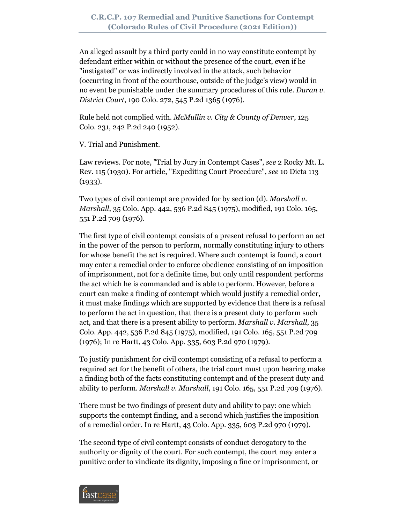An alleged assault by a third party could in no way constitute contempt by defendant either within or without the presence of the court, even if he "instigated" or was indirectly involved in the attack, such behavior (occurring in front of the courthouse, outside of the judge's view) would in no event be punishable under the summary procedures of this rule. *Duran v. District Court*, 190 Colo. 272, 545 P.2d 1365 (1976).

Rule held not complied with. *McMullin v. City & County of Denver*, 125 Colo. 231, 242 P.2d 240 (1952).

V. Trial and Punishment.

Law reviews. For note, "Trial by Jury in Contempt Cases", *see* 2 Rocky Mt. L. Rev. 115 (1930). For article, "Expediting Court Procedure", *see* 10 Dicta 113 (1933).

Two types of civil contempt are provided for by section (d). *Marshall v. Marshall*, 35 Colo. App. 442, 536 P.2d 845 (1975), modified, 191 Colo. 165, 551 P.2d 709 (1976).

The first type of civil contempt consists of a present refusal to perform an act in the power of the person to perform, normally constituting injury to others for whose benefit the act is required. Where such contempt is found, a court may enter a remedial order to enforce obedience consisting of an imposition of imprisonment, not for a definite time, but only until respondent performs the act which he is commanded and is able to perform. However, before a court can make a finding of contempt which would justify a remedial order, it must make findings which are supported by evidence that there is a refusal to perform the act in question, that there is a present duty to perform such act, and that there is a present ability to perform. *Marshall v. Marshall*, 35 Colo. App. 442, 536 P.2d 845 (1975), modified, 191 Colo. 165, 551 P.2d 709 (1976); In re Hartt, 43 Colo. App. 335, 603 P.2d 970 (1979).

To justify punishment for civil contempt consisting of a refusal to perform a required act for the benefit of others, the trial court must upon hearing make a finding both of the facts constituting contempt and of the present duty and ability to perform. *Marshall v. Marshall*, 191 Colo. 165, 551 P.2d 709 (1976).

There must be two findings of present duty and ability to pay: one which supports the contempt finding, and a second which justifies the imposition of a remedial order. In re Hartt, 43 Colo. App. 335, 603 P.2d 970 (1979).

The second type of civil contempt consists of conduct derogatory to the authority or dignity of the court. For such contempt, the court may enter a punitive order to vindicate its dignity, imposing a fine or imprisonment, or

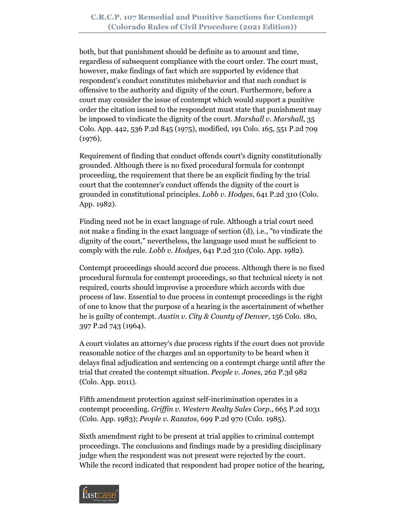both, but that punishment should be definite as to amount and time, regardless of subsequent compliance with the court order. The court must, however, make findings of fact which are supported by evidence that respondent's conduct constitutes misbehavior and that such conduct is offensive to the authority and dignity of the court. Furthermore, before a court may consider the issue of contempt which would support a punitive order the citation issued to the respondent must state that punishment may be imposed to vindicate the dignity of the court. *Marshall v. Marshall*, 35 Colo. App. 442, 536 P.2d 845 (1975), modified, 191 Colo. 165, 551 P.2d 709 (1976).

Requirement of finding that conduct offends court's dignity constitutionally grounded. Although there is no fixed procedural formula for contempt proceeding, the requirement that there be an explicit finding by the trial court that the contemner's conduct offends the dignity of the court is grounded in constitutional principles. *Lobb v. Hodges*, 641 P.2d 310 (Colo. App. 1982).

Finding need not be in exact language of rule. Although a trial court need not make a finding in the exact language of section (d), i.e., "to vindicate the dignity of the court," nevertheless, the language used must be sufficient to comply with the rule. *Lobb v. Hodges*, 641 P.2d 310 (Colo. App. 1982).

Contempt proceedings should accord due process. Although there is no fixed procedural formula for contempt proceedings, so that technical nicety is not required, courts should improvise a procedure which accords with due process of law. Essential to due process in contempt proceedings is the right of one to know that the purpose of a hearing is the ascertainment of whether he is guilty of contempt. *Austin v. City & County of Denver*, 156 Colo. 180, 397 P.2d 743 (1964).

A court violates an attorney's due process rights if the court does not provide reasonable notice of the charges and an opportunity to be heard when it delays final adjudication and sentencing on a contempt charge until after the trial that created the contempt situation. *People v. Jones*, 262 P.3d 982 (Colo. App. 2011).

Fifth amendment protection against self-incrimination operates in a contempt proceeding. *Griffin v. Western Realty Sales Corp*., 665 P.2d 1031 (Colo. App. 1983); *People v. Razatos*, 699 P.2d 970 (Colo. 1985).

Sixth amendment right to be present at trial applies to criminal contempt proceedings. The conclusions and findings made by a presiding disciplinary judge when the respondent was not present were rejected by the court. While the record indicated that respondent had proper notice of the hearing,

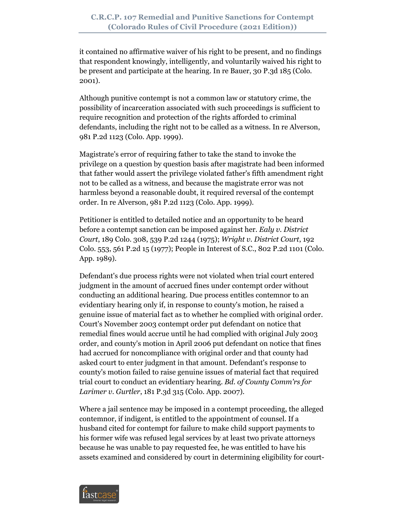it contained no affirmative waiver of his right to be present, and no findings that respondent knowingly, intelligently, and voluntarily waived his right to be present and participate at the hearing. In re Bauer, 30 P.3d 185 (Colo. 2001).

Although punitive contempt is not a common law or statutory crime, the possibility of incarceration associated with such proceedings is sufficient to require recognition and protection of the rights afforded to criminal defendants, including the right not to be called as a witness. In re Alverson, 981 P.2d 1123 (Colo. App. 1999).

Magistrate's error of requiring father to take the stand to invoke the privilege on a question by question basis after magistrate had been informed that father would assert the privilege violated father's fifth amendment right not to be called as a witness, and because the magistrate error was not harmless beyond a reasonable doubt, it required reversal of the contempt order. In re Alverson, 981 P.2d 1123 (Colo. App. 1999).

Petitioner is entitled to detailed notice and an opportunity to be heard before a contempt sanction can be imposed against her. *Ealy v. District Court*, 189 Colo. 308, 539 P.2d 1244 (1975); *Wright v. District Court*, 192 Colo. 553, 561 P.2d 15 (1977); People in Interest of S.C., 802 P.2d 1101 (Colo. App. 1989).

Defendant's due process rights were not violated when trial court entered judgment in the amount of accrued fines under contempt order without conducting an additional hearing. Due process entitles contemnor to an evidentiary hearing only if, in response to county's motion, he raised a genuine issue of material fact as to whether he complied with original order. Court's November 2003 contempt order put defendant on notice that remedial fines would accrue until he had complied with original July 2003 order, and county's motion in April 2006 put defendant on notice that fines had accrued for noncompliance with original order and that county had asked court to enter judgment in that amount. Defendant's response to county's motion failed to raise genuine issues of material fact that required trial court to conduct an evidentiary hearing. *Bd. of County Comm'rs for Larimer v. Gurtler*, 181 P.3d 315 (Colo. App. 2007).

Where a jail sentence may be imposed in a contempt proceeding, the alleged contemnor, if indigent, is entitled to the appointment of counsel. If a husband cited for contempt for failure to make child support payments to his former wife was refused legal services by at least two private attorneys because he was unable to pay requested fee, he was entitled to have his assets examined and considered by court in determining eligibility for court-

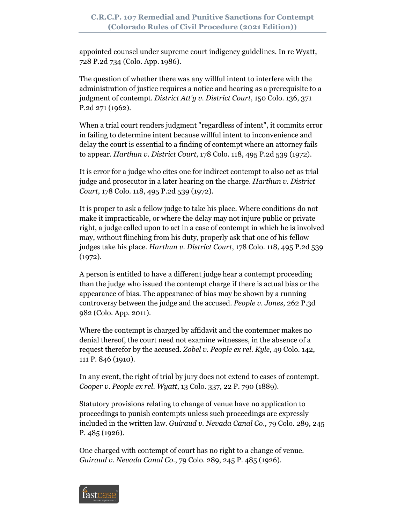appointed counsel under supreme court indigency guidelines. In re Wyatt, 728 P.2d 734 (Colo. App. 1986).

The question of whether there was any willful intent to interfere with the administration of justice requires a notice and hearing as a prerequisite to a judgment of contempt. *District Att'y v. District Court*, 150 Colo. 136, 371 P.2d 271 (1962).

When a trial court renders judgment "regardless of intent", it commits error in failing to determine intent because willful intent to inconvenience and delay the court is essential to a finding of contempt where an attorney fails to appear. *Harthun v. District Court*, 178 Colo. 118, 495 P.2d 539 (1972).

It is error for a judge who cites one for indirect contempt to also act as trial judge and prosecutor in a later hearing on the charge. *Harthun v. District Court*, 178 Colo. 118, 495 P.2d 539 (1972).

It is proper to ask a fellow judge to take his place. Where conditions do not make it impracticable, or where the delay may not injure public or private right, a judge called upon to act in a case of contempt in which he is involved may, without flinching from his duty, properly ask that one of his fellow judges take his place. *Harthun v. District Court*, 178 Colo. 118, 495 P.2d 539 (1972).

A person is entitled to have a different judge hear a contempt proceeding than the judge who issued the contempt charge if there is actual bias or the appearance of bias. The appearance of bias may be shown by a running controversy between the judge and the accused. *People v. Jones*, 262 P.3d 982 (Colo. App. 2011).

Where the contempt is charged by affidavit and the contemner makes no denial thereof, the court need not examine witnesses, in the absence of a request therefor by the accused. *Zobel v. People ex rel. Kyle*, 49 Colo. 142, 111 P. 846 (1910).

In any event, the right of trial by jury does not extend to cases of contempt. *Cooper v. People ex rel. Wyatt*, 13 Colo. 337, 22 P. 790 (1889).

Statutory provisions relating to change of venue have no application to proceedings to punish contempts unless such proceedings are expressly included in the written law. *Guiraud v. Nevada Canal Co*., 79 Colo. 289, 245 P. 485 (1926).

One charged with contempt of court has no right to a change of venue. *Guiraud v. Nevada Canal Co*., 79 Colo. 289, 245 P. 485 (1926).

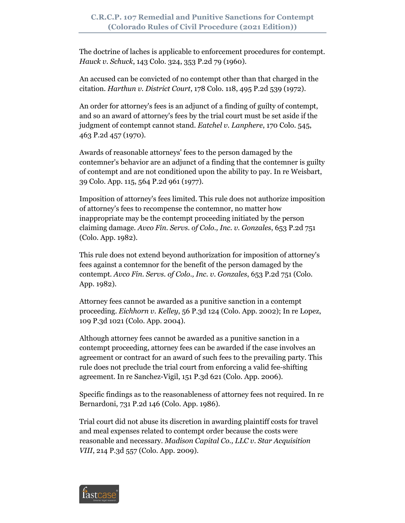The doctrine of laches is applicable to enforcement procedures for contempt. *Hauck v. Schuck*, 143 Colo. 324, 353 P.2d 79 (1960).

An accused can be convicted of no contempt other than that charged in the citation. *Harthun v. District Court*, 178 Colo. 118, 495 P.2d 539 (1972).

An order for attorney's fees is an adjunct of a finding of guilty of contempt, and so an award of attorney's fees by the trial court must be set aside if the judgment of contempt cannot stand. *Eatchel v. Lanphere*, 170 Colo. 545, 463 P.2d 457 (1970).

Awards of reasonable attorneys' fees to the person damaged by the contemner's behavior are an adjunct of a finding that the contemner is guilty of contempt and are not conditioned upon the ability to pay. In re Weisbart, 39 Colo. App. 115, 564 P.2d 961 (1977).

Imposition of attorney's fees limited. This rule does not authorize imposition of attorney's fees to recompense the contemnor, no matter how inappropriate may be the contempt proceeding initiated by the person claiming damage. *Avco Fin. Servs. of Colo., Inc. v. Gonzales*, 653 P.2d 751 (Colo. App. 1982).

This rule does not extend beyond authorization for imposition of attorney's fees against a contemnor for the benefit of the person damaged by the contempt. *Avco Fin. Servs. of Colo., Inc. v. Gonzales*, 653 P.2d 751 (Colo. App. 1982).

Attorney fees cannot be awarded as a punitive sanction in a contempt proceeding. *Eichhorn v. Kelley*, 56 P.3d 124 (Colo. App. 2002); In re Lopez, 109 P.3d 1021 (Colo. App. 2004).

Although attorney fees cannot be awarded as a punitive sanction in a contempt proceeding, attorney fees can be awarded if the case involves an agreement or contract for an award of such fees to the prevailing party. This rule does not preclude the trial court from enforcing a valid fee-shifting agreement. In re Sanchez-Vigil, 151 P.3d 621 (Colo. App. 2006).

Specific findings as to the reasonableness of attorney fees not required. In re Bernardoni, 731 P.2d 146 (Colo. App. 1986).

Trial court did not abuse its discretion in awarding plaintiff costs for travel and meal expenses related to contempt order because the costs were reasonable and necessary. *Madison Capital Co., LLC v. Star Acquisition VIII*, 214 P.3d 557 (Colo. App. 2009).

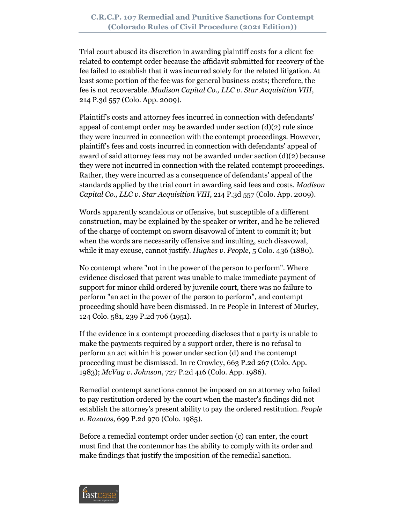Trial court abused its discretion in awarding plaintiff costs for a client fee related to contempt order because the affidavit submitted for recovery of the fee failed to establish that it was incurred solely for the related litigation. At least some portion of the fee was for general business costs; therefore, the fee is not recoverable. *Madison Capital Co., LLC v. Star Acquisition VIII*, 214 P.3d 557 (Colo. App. 2009).

Plaintiff's costs and attorney fees incurred in connection with defendants' appeal of contempt order may be awarded under section  $(d)(2)$  rule since they were incurred in connection with the contempt proceedings. However, plaintiff's fees and costs incurred in connection with defendants' appeal of award of said attorney fees may not be awarded under section (d)(2) because they were not incurred in connection with the related contempt proceedings. Rather, they were incurred as a consequence of defendants' appeal of the standards applied by the trial court in awarding said fees and costs. *Madison Capital Co., LLC v. Star Acquisition VIII*, 214 P.3d 557 (Colo. App. 2009).

Words apparently scandalous or offensive, but susceptible of a different construction, may be explained by the speaker or writer, and he be relieved of the charge of contempt on sworn disavowal of intent to commit it; but when the words are necessarily offensive and insulting, such disavowal, while it may excuse, cannot justify. *Hughes v. People*, 5 Colo. 436 (1880).

No contempt where "not in the power of the person to perform". Where evidence disclosed that parent was unable to make immediate payment of support for minor child ordered by juvenile court, there was no failure to perform "an act in the power of the person to perform", and contempt proceeding should have been dismissed. In re People in Interest of Murley, 124 Colo. 581, 239 P.2d 706 (1951).

If the evidence in a contempt proceeding discloses that a party is unable to make the payments required by a support order, there is no refusal to perform an act within his power under section (d) and the contempt proceeding must be dismissed. In re Crowley, 663 P.2d 267 (Colo. App. 1983); *McVay v. Johnson*, 727 P.2d 416 (Colo. App. 1986).

Remedial contempt sanctions cannot be imposed on an attorney who failed to pay restitution ordered by the court when the master's findings did not establish the attorney's present ability to pay the ordered restitution. *People v. Razatos*, 699 P.2d 970 (Colo. 1985).

Before a remedial contempt order under section (c) can enter, the court must find that the contemnor has the ability to comply with its order and make findings that justify the imposition of the remedial sanction.

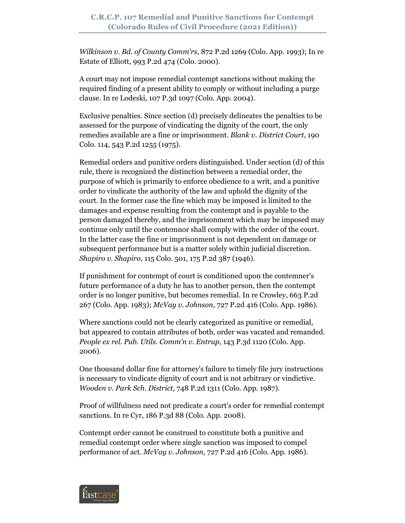*Wilkinson v. Bd. of County Comm'rs*, 872 P.2d 1269 (Colo. App. 1993); In re Estate of Elliott, 993 P.2d 474 (Colo. 2000).

A court may not impose remedial contempt sanctions without making the required finding of a present ability to comply or without including a purge clause. In re Lodeski, 107 P.3d 1097 (Colo. App. 2004).

Exclusive penalties. Since section (d) precisely delineates the penalties to be assessed for the purpose of vindicating the dignity of the court, the only remedies available are a fine or imprisonment. *Blank v. District Court*, 190 Colo. 114, 543 P.2d 1255 (1975).

Remedial orders and punitive orders distinguished. Under section (d) of this rule, there is recognized the distinction between a remedial order, the purpose of which is primarily to enforce obedience to a writ, and a punitive order to vindicate the authority of the law and uphold the dignity of the court. In the former case the fine which may be imposed is limited to the damages and expense resulting from the contempt and is payable to the person damaged thereby, and the imprisonment which may be imposed may continue only until the contemnor shall comply with the order of the court. In the latter case the fine or imprisonment is not dependent on damage or subsequent performance but is a matter solely within judicial discretion. *Shapiro v. Shapiro*, 115 Colo. 501, 175 P.2d 387 (1946).

If punishment for contempt of court is conditioned upon the contemner's future performance of a duty he has to another person, then the contempt order is no longer punitive, but becomes remedial. In re Crowley, 663 P.2d 267 (Colo. App. 1983); *McVay v. Johnson*, 727 P.2d 416 (Colo. App. 1986).

Where sanctions could not be clearly categorized as punitive or remedial, but appeared to contain attributes of both, order was vacated and remanded. *People ex rel. Pub. Utils. Comm'n v. Entrup*, 143 P.3d 1120 (Colo. App. 2006).

One thousand dollar fine for attorney's failure to timely file jury instructions is necessary to vindicate dignity of court and is not arbitrary or vindictive. *Wooden v. Park Sch. District*, 748 P.2d 1311 (Colo. App. 1987).

Proof of willfulness need not predicate a court's order for remedial contempt sanctions. In re Cyr, 186 P.3d 88 (Colo. App. 2008).

Contempt order cannot be construed to constitute both a punitive and remedial contempt order where single sanction was imposed to compel performance of act. *McVay v. Johnson*, 727 P.2d 416 (Colo. App. 1986).

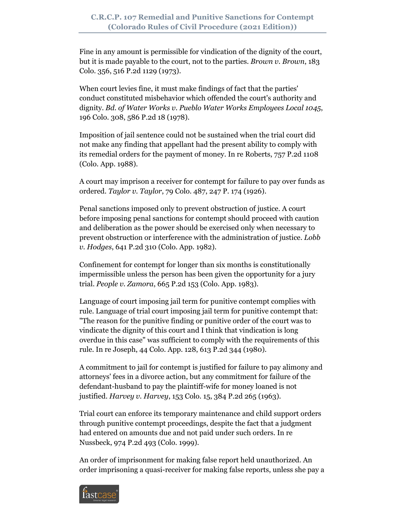Fine in any amount is permissible for vindication of the dignity of the court, but it is made payable to the court, not to the parties. *Brown v. Brown*, 183 Colo. 356, 516 P.2d 1129 (1973).

When court levies fine, it must make findings of fact that the parties' conduct constituted misbehavior which offended the court's authority and dignity. *Bd. of Water Works v. Pueblo Water Works Employees Local 1045*, 196 Colo. 308, 586 P.2d 18 (1978).

Imposition of jail sentence could not be sustained when the trial court did not make any finding that appellant had the present ability to comply with its remedial orders for the payment of money. In re Roberts, 757 P.2d 1108 (Colo. App. 1988).

A court may imprison a receiver for contempt for failure to pay over funds as ordered. *Taylor v. Taylor*, 79 Colo. 487, 247 P. 174 (1926).

Penal sanctions imposed only to prevent obstruction of justice. A court before imposing penal sanctions for contempt should proceed with caution and deliberation as the power should be exercised only when necessary to prevent obstruction or interference with the administration of justice. *Lobb v. Hodges*, 641 P.2d 310 (Colo. App. 1982).

Confinement for contempt for longer than six months is constitutionally impermissible unless the person has been given the opportunity for a jury trial. *People v. Zamora*, 665 P.2d 153 (Colo. App. 1983).

Language of court imposing jail term for punitive contempt complies with rule. Language of trial court imposing jail term for punitive contempt that: "The reason for the punitive finding or punitive order of the court was to vindicate the dignity of this court and I think that vindication is long overdue in this case" was sufficient to comply with the requirements of this rule. In re Joseph, 44 Colo. App. 128, 613 P.2d 344 (1980).

A commitment to jail for contempt is justified for failure to pay alimony and attorneys' fees in a divorce action, but any commitment for failure of the defendant-husband to pay the plaintiff-wife for money loaned is not justified. *Harvey v. Harvey*, 153 Colo. 15, 384 P.2d 265 (1963).

Trial court can enforce its temporary maintenance and child support orders through punitive contempt proceedings, despite the fact that a judgment had entered on amounts due and not paid under such orders. In re Nussbeck, 974 P.2d 493 (Colo. 1999).

An order of imprisonment for making false report held unauthorized. An order imprisoning a quasi-receiver for making false reports, unless she pay a

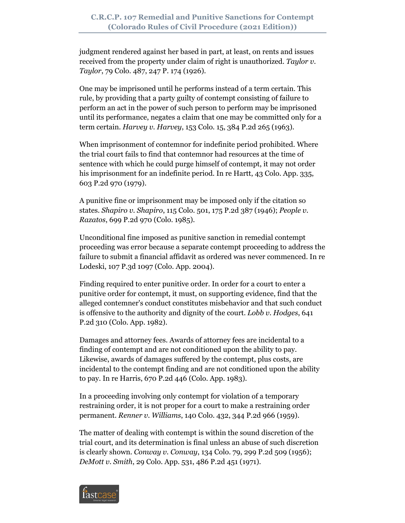judgment rendered against her based in part, at least, on rents and issues received from the property under claim of right is unauthorized. *Taylor v. Taylor*, 79 Colo. 487, 247 P. 174 (1926).

One may be imprisoned until he performs instead of a term certain. This rule, by providing that a party guilty of contempt consisting of failure to perform an act in the power of such person to perform may be imprisoned until its performance, negates a claim that one may be committed only for a term certain. *Harvey v. Harvey*, 153 Colo. 15, 384 P.2d 265 (1963).

When imprisonment of contemnor for indefinite period prohibited. Where the trial court fails to find that contemnor had resources at the time of sentence with which he could purge himself of contempt, it may not order his imprisonment for an indefinite period. In re Hartt, 43 Colo. App. 335, 603 P.2d 970 (1979).

A punitive fine or imprisonment may be imposed only if the citation so states. *Shapiro v. Shapiro*, 115 Colo. 501, 175 P.2d 387 (1946); *People v. Razatos*, 699 P.2d 970 (Colo. 1985).

Unconditional fine imposed as punitive sanction in remedial contempt proceeding was error because a separate contempt proceeding to address the failure to submit a financial affidavit as ordered was never commenced. In re Lodeski, 107 P.3d 1097 (Colo. App. 2004).

Finding required to enter punitive order. In order for a court to enter a punitive order for contempt, it must, on supporting evidence, find that the alleged contemner's conduct constitutes misbehavior and that such conduct is offensive to the authority and dignity of the court. *Lobb v. Hodges*, 641 P.2d 310 (Colo. App. 1982).

Damages and attorney fees. Awards of attorney fees are incidental to a finding of contempt and are not conditioned upon the ability to pay. Likewise, awards of damages suffered by the contempt, plus costs, are incidental to the contempt finding and are not conditioned upon the ability to pay. In re Harris, 670 P.2d 446 (Colo. App. 1983).

In a proceeding involving only contempt for violation of a temporary restraining order, it is not proper for a court to make a restraining order permanent. *Renner v. Williams*, 140 Colo. 432, 344 P.2d 966 (1959).

The matter of dealing with contempt is within the sound discretion of the trial court, and its determination is final unless an abuse of such discretion is clearly shown. *Conway v. Conway*, 134 Colo. 79, 299 P.2d 509 (1956); *DeMott v. Smith*, 29 Colo. App. 531, 486 P.2d 451 (1971).

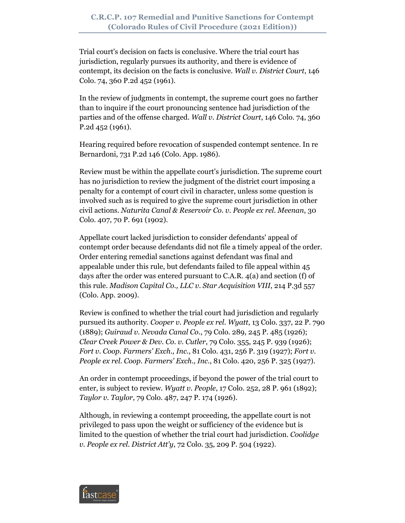Trial court's decision on facts is conclusive. Where the trial court has jurisdiction, regularly pursues its authority, and there is evidence of contempt, its decision on the facts is conclusive. *Wall v. District Court*, 146 Colo. 74, 360 P.2d 452 (1961).

In the review of judgments in contempt, the supreme court goes no farther than to inquire if the court pronouncing sentence had jurisdiction of the parties and of the offense charged. *Wall v. District Court*, 146 Colo. 74, 360 P.2d 452 (1961).

Hearing required before revocation of suspended contempt sentence. In re Bernardoni, 731 P.2d 146 (Colo. App. 1986).

Review must be within the appellate court's jurisdiction. The supreme court has no jurisdiction to review the judgment of the district court imposing a penalty for a contempt of court civil in character, unless some question is involved such as is required to give the supreme court jurisdiction in other civil actions. *Naturita Canal & Reservoir Co. v. People ex rel. Meenan*, 30 Colo. 407, 70 P. 691 (1902).

Appellate court lacked jurisdiction to consider defendants' appeal of contempt order because defendants did not file a timely appeal of the order. Order entering remedial sanctions against defendant was final and appealable under this rule, but defendants failed to file appeal within 45 days after the order was entered pursuant to C.A.R. 4(a) and section (f) of this rule. *Madison Capital Co., LLC v. Star Acquisition VIII*, 214 P.3d 557 (Colo. App. 2009).

Review is confined to whether the trial court had jurisdiction and regularly pursued its authority. *Cooper v. People ex rel. Wyatt*, 13 Colo. 337, 22 P. 790 (1889); *Guiraud v. Nevada Canal Co*., 79 Colo. 289, 245 P. 485 (1926); *Clear Creek Power & Dev. Co. v. Cutler*, 79 Colo. 355, 245 P. 939 (1926); *Fort v. Coop. Farmers' Exch., Inc*., 81 Colo. 431, 256 P. 319 (1927); *Fort v. People ex rel. Coop. Farmers' Exch., Inc*., 81 Colo. 420, 256 P. 325 (1927).

An order in contempt proceedings, if beyond the power of the trial court to enter, is subject to review. *Wyatt v. People*, 17 Colo. 252, 28 P. 961 (1892); *Taylor v. Taylor*, 79 Colo. 487, 247 P. 174 (1926).

Although, in reviewing a contempt proceeding, the appellate court is not privileged to pass upon the weight or sufficiency of the evidence but is limited to the question of whether the trial court had jurisdiction. *Coolidge v. People ex rel. District Att'y*, 72 Colo. 35, 209 P. 504 (1922).